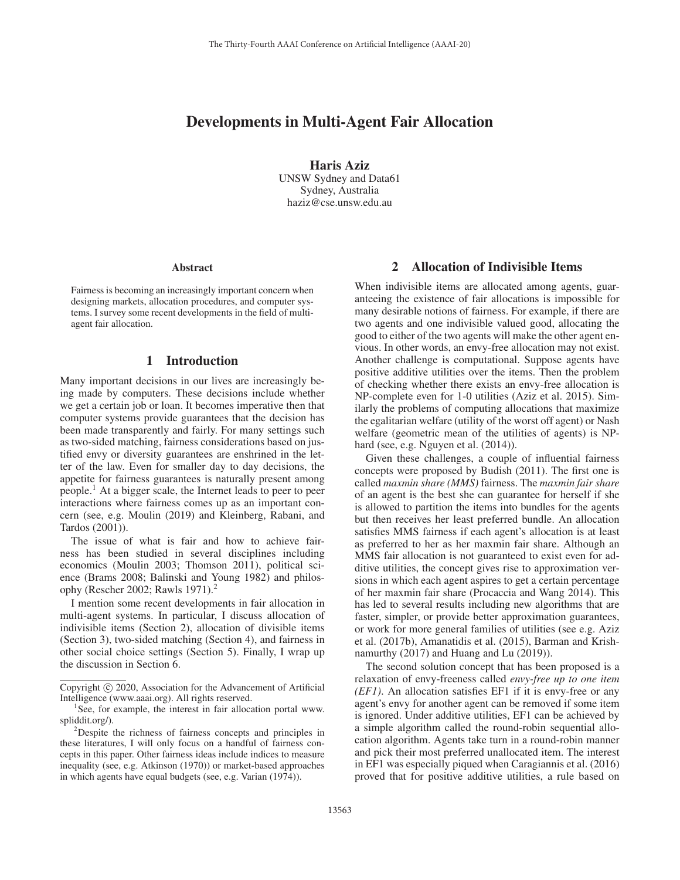# Developments in Multi-Agent Fair Allocation

Haris Aziz UNSW Sydney and Data61 Sydney, Australia haziz@cse.unsw.edu.au

#### Abstract

Fairness is becoming an increasingly important concern when designing markets, allocation procedures, and computer systems. I survey some recent developments in the field of multiagent fair allocation.

#### 1 Introduction

Many important decisions in our lives are increasingly being made by computers. These decisions include whether we get a certain job or loan. It becomes imperative then that computer systems provide guarantees that the decision has been made transparently and fairly. For many settings such as two-sided matching, fairness considerations based on justified envy or diversity guarantees are enshrined in the letter of the law. Even for smaller day to day decisions, the appetite for fairness guarantees is naturally present among people.<sup>1</sup> At a bigger scale, the Internet leads to peer to peer interactions where fairness comes up as an important concern (see, e.g. Moulin (2019) and Kleinberg, Rabani, and Tardos (2001)).

The issue of what is fair and how to achieve fairness has been studied in several disciplines including economics (Moulin 2003; Thomson 2011), political science (Brams 2008; Balinski and Young 1982) and philosophy (Rescher 2002; Rawls 1971).<sup>2</sup>

I mention some recent developments in fair allocation in multi-agent systems. In particular, I discuss allocation of indivisible items (Section 2), allocation of divisible items (Section 3), two-sided matching (Section 4), and fairness in other social choice settings (Section 5). Finally, I wrap up the discussion in Section 6.

## 2 Allocation of Indivisible Items

When indivisible items are allocated among agents, guaranteeing the existence of fair allocations is impossible for many desirable notions of fairness. For example, if there are two agents and one indivisible valued good, allocating the good to either of the two agents will make the other agent envious. In other words, an envy-free allocation may not exist. Another challenge is computational. Suppose agents have positive additive utilities over the items. Then the problem of checking whether there exists an envy-free allocation is NP-complete even for 1-0 utilities (Aziz et al. 2015). Similarly the problems of computing allocations that maximize the egalitarian welfare (utility of the worst off agent) or Nash welfare (geometric mean of the utilities of agents) is NPhard (see, e.g. Nguyen et al.  $(2014)$ ).

Given these challenges, a couple of influential fairness concepts were proposed by Budish (2011). The first one is called *maxmin share (MMS)* fairness. The *maxmin fair share* of an agent is the best she can guarantee for herself if she is allowed to partition the items into bundles for the agents but then receives her least preferred bundle. An allocation satisfies MMS fairness if each agent's allocation is at least as preferred to her as her maxmin fair share. Although an MMS fair allocation is not guaranteed to exist even for additive utilities, the concept gives rise to approximation versions in which each agent aspires to get a certain percentage of her maxmin fair share (Procaccia and Wang 2014). This has led to several results including new algorithms that are faster, simpler, or provide better approximation guarantees, or work for more general families of utilities (see e.g. Aziz et al. (2017b), Amanatidis et al. (2015), Barman and Krishnamurthy (2017) and Huang and Lu (2019)).

The second solution concept that has been proposed is a relaxation of envy-freeness called *envy-free up to one item (EF1)*. An allocation satisfies EF1 if it is envy-free or any agent's envy for another agent can be removed if some item is ignored. Under additive utilities, EF1 can be achieved by a simple algorithm called the round-robin sequential allocation algorithm. Agents take turn in a round-robin manner and pick their most preferred unallocated item. The interest in EF1 was especially piqued when Caragiannis et al. (2016) proved that for positive additive utilities, a rule based on

Copyright  $\odot$  2020, Association for the Advancement of Artificial Intelligence (www.aaai.org). All rights reserved.

<sup>&</sup>lt;sup>1</sup>See, for example, the interest in fair allocation portal www. spliddit.org/).

<sup>&</sup>lt;sup>2</sup>Despite the richness of fairness concepts and principles in these literatures, I will only focus on a handful of fairness concepts in this paper. Other fairness ideas include indices to measure inequality (see, e.g. Atkinson (1970)) or market-based approaches in which agents have equal budgets (see, e.g. Varian (1974)).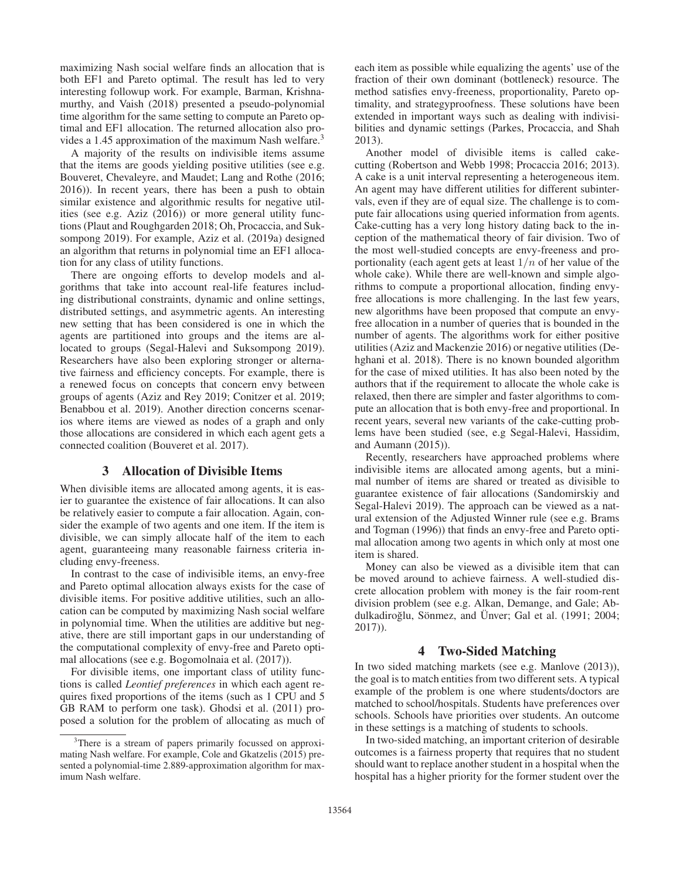maximizing Nash social welfare finds an allocation that is both EF1 and Pareto optimal. The result has led to very interesting followup work. For example, Barman, Krishnamurthy, and Vaish (2018) presented a pseudo-polynomial time algorithm for the same setting to compute an Pareto optimal and EF1 allocation. The returned allocation also provides a 1.45 approximation of the maximum Nash welfare.<sup>3</sup>

A majority of the results on indivisible items assume that the items are goods yielding positive utilities (see e.g. Bouveret, Chevaleyre, and Maudet; Lang and Rothe (2016; 2016)). In recent years, there has been a push to obtain similar existence and algorithmic results for negative utilities (see e.g. Aziz (2016)) or more general utility functions (Plaut and Roughgarden 2018; Oh, Procaccia, and Suksompong 2019). For example, Aziz et al. (2019a) designed an algorithm that returns in polynomial time an EF1 allocation for any class of utility functions.

There are ongoing efforts to develop models and algorithms that take into account real-life features including distributional constraints, dynamic and online settings, distributed settings, and asymmetric agents. An interesting new setting that has been considered is one in which the agents are partitioned into groups and the items are allocated to groups (Segal-Halevi and Suksompong 2019). Researchers have also been exploring stronger or alternative fairness and efficiency concepts. For example, there is a renewed focus on concepts that concern envy between groups of agents (Aziz and Rey 2019; Conitzer et al. 2019; Benabbou et al. 2019). Another direction concerns scenarios where items are viewed as nodes of a graph and only those allocations are considered in which each agent gets a connected coalition (Bouveret et al. 2017).

#### 3 Allocation of Divisible Items

When divisible items are allocated among agents, it is easier to guarantee the existence of fair allocations. It can also be relatively easier to compute a fair allocation. Again, consider the example of two agents and one item. If the item is divisible, we can simply allocate half of the item to each agent, guaranteeing many reasonable fairness criteria including envy-freeness.

In contrast to the case of indivisible items, an envy-free and Pareto optimal allocation always exists for the case of divisible items. For positive additive utilities, such an allocation can be computed by maximizing Nash social welfare in polynomial time. When the utilities are additive but negative, there are still important gaps in our understanding of the computational complexity of envy-free and Pareto optimal allocations (see e.g. Bogomolnaia et al. (2017)).

For divisible items, one important class of utility functions is called *Leontief preferences* in which each agent requires fixed proportions of the items (such as 1 CPU and 5 GB RAM to perform one task). Ghodsi et al. (2011) proposed a solution for the problem of allocating as much of

each item as possible while equalizing the agents' use of the fraction of their own dominant (bottleneck) resource. The method satisfies envy-freeness, proportionality, Pareto optimality, and strategyproofness. These solutions have been extended in important ways such as dealing with indivisibilities and dynamic settings (Parkes, Procaccia, and Shah 2013).

Another model of divisible items is called cakecutting (Robertson and Webb 1998; Procaccia 2016; 2013). A cake is a unit interval representing a heterogeneous item. An agent may have different utilities for different subintervals, even if they are of equal size. The challenge is to compute fair allocations using queried information from agents. Cake-cutting has a very long history dating back to the inception of the mathematical theory of fair division. Two of the most well-studied concepts are envy-freeness and proportionality (each agent gets at least  $1/n$  of her value of the whole cake). While there are well-known and simple algorithms to compute a proportional allocation, finding envyfree allocations is more challenging. In the last few years, new algorithms have been proposed that compute an envyfree allocation in a number of queries that is bounded in the number of agents. The algorithms work for either positive utilities (Aziz and Mackenzie 2016) or negative utilities (Dehghani et al. 2018). There is no known bounded algorithm for the case of mixed utilities. It has also been noted by the authors that if the requirement to allocate the whole cake is relaxed, then there are simpler and faster algorithms to compute an allocation that is both envy-free and proportional. In recent years, several new variants of the cake-cutting problems have been studied (see, e.g Segal-Halevi, Hassidim, and Aumann (2015)).

Recently, researchers have approached problems where indivisible items are allocated among agents, but a minimal number of items are shared or treated as divisible to guarantee existence of fair allocations (Sandomirskiy and Segal-Halevi 2019). The approach can be viewed as a natural extension of the Adjusted Winner rule (see e.g. Brams and Togman (1996)) that finds an envy-free and Pareto optimal allocation among two agents in which only at most one item is shared.

Money can also be viewed as a divisible item that can be moved around to achieve fairness. A well-studied discrete allocation problem with money is the fair room-rent division problem (see e.g. Alkan, Demange, and Gale; Abdulkadiroğlu, Sönmez, and Ünver; Gal et al. (1991; 2004; 2017)).

#### 4 Two-Sided Matching

In two sided matching markets (see e.g. Manlove (2013)), the goal is to match entities from two different sets. A typical example of the problem is one where students/doctors are matched to school/hospitals. Students have preferences over schools. Schools have priorities over students. An outcome in these settings is a matching of students to schools.

In two-sided matching, an important criterion of desirable outcomes is a fairness property that requires that no student should want to replace another student in a hospital when the hospital has a higher priority for the former student over the

<sup>&</sup>lt;sup>3</sup>There is a stream of papers primarily focussed on approximating Nash welfare. For example, Cole and Gkatzelis (2015) presented a polynomial-time 2.889-approximation algorithm for maximum Nash welfare.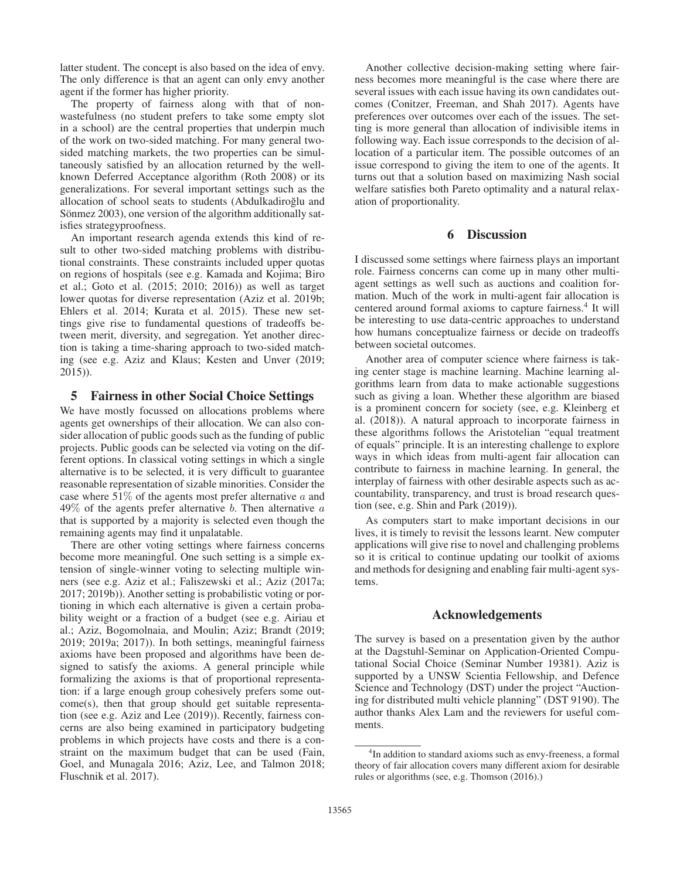latter student. The concept is also based on the idea of envy. The only difference is that an agent can only envy another agent if the former has higher priority.

The property of fairness along with that of nonwastefulness (no student prefers to take some empty slot in a school) are the central properties that underpin much of the work on two-sided matching. For many general twosided matching markets, the two properties can be simultaneously satisfied by an allocation returned by the wellknown Deferred Acceptance algorithm (Roth 2008) or its generalizations. For several important settings such as the allocation of school seats to students (Abdulkadiroğlu and Sönmez 2003), one version of the algorithm additionally satisfies strategyproofness.

An important research agenda extends this kind of result to other two-sided matching problems with distributional constraints. These constraints included upper quotas on regions of hospitals (see e.g. Kamada and Kojima; Biro et al.; Goto et al. (2015; 2010; 2016)) as well as target lower quotas for diverse representation (Aziz et al. 2019b; Ehlers et al. 2014; Kurata et al. 2015). These new settings give rise to fundamental questions of tradeoffs between merit, diversity, and segregation. Yet another direction is taking a time-sharing approach to two-sided matching (see e.g. Aziz and Klaus; Kesten and Unver (2019; 2015)).

### 5 Fairness in other Social Choice Settings

We have mostly focussed on allocations problems where agents get ownerships of their allocation. We can also consider allocation of public goods such as the funding of public projects. Public goods can be selected via voting on the different options. In classical voting settings in which a single alternative is to be selected, it is very difficult to guarantee reasonable representation of sizable minorities. Consider the case where  $51\%$  of the agents most prefer alternative a and  $49\%$  of the agents prefer alternative b. Then alternative  $a$ that is supported by a majority is selected even though the remaining agents may find it unpalatable.

There are other voting settings where fairness concerns become more meaningful. One such setting is a simple extension of single-winner voting to selecting multiple winners (see e.g. Aziz et al.; Faliszewski et al.; Aziz (2017a; 2017; 2019b)). Another setting is probabilistic voting or portioning in which each alternative is given a certain probability weight or a fraction of a budget (see e.g. Airiau et al.; Aziz, Bogomolnaia, and Moulin; Aziz; Brandt (2019; 2019; 2019a; 2017)). In both settings, meaningful fairness axioms have been proposed and algorithms have been designed to satisfy the axioms. A general principle while formalizing the axioms is that of proportional representation: if a large enough group cohesively prefers some outcome(s), then that group should get suitable representation (see e.g. Aziz and Lee (2019)). Recently, fairness concerns are also being examined in participatory budgeting problems in which projects have costs and there is a constraint on the maximum budget that can be used (Fain, Goel, and Munagala 2016; Aziz, Lee, and Talmon 2018; Fluschnik et al. 2017).

Another collective decision-making setting where fairness becomes more meaningful is the case where there are several issues with each issue having its own candidates outcomes (Conitzer, Freeman, and Shah 2017). Agents have preferences over outcomes over each of the issues. The setting is more general than allocation of indivisible items in following way. Each issue corresponds to the decision of allocation of a particular item. The possible outcomes of an issue correspond to giving the item to one of the agents. It turns out that a solution based on maximizing Nash social welfare satisfies both Pareto optimality and a natural relaxation of proportionality.

# 6 Discussion

I discussed some settings where fairness plays an important role. Fairness concerns can come up in many other multiagent settings as well such as auctions and coalition formation. Much of the work in multi-agent fair allocation is centered around formal axioms to capture fairness.<sup>4</sup> It will be interesting to use data-centric approaches to understand how humans conceptualize fairness or decide on tradeoffs between societal outcomes.

Another area of computer science where fairness is taking center stage is machine learning. Machine learning algorithms learn from data to make actionable suggestions such as giving a loan. Whether these algorithm are biased is a prominent concern for society (see, e.g. Kleinberg et al. (2018)). A natural approach to incorporate fairness in these algorithms follows the Aristotelian "equal treatment of equals" principle. It is an interesting challenge to explore ways in which ideas from multi-agent fair allocation can contribute to fairness in machine learning. In general, the interplay of fairness with other desirable aspects such as accountability, transparency, and trust is broad research question (see, e.g. Shin and Park (2019)).

As computers start to make important decisions in our lives, it is timely to revisit the lessons learnt. New computer applications will give rise to novel and challenging problems so it is critical to continue updating our toolkit of axioms and methods for designing and enabling fair multi-agent systems.

#### Acknowledgements

The survey is based on a presentation given by the author at the Dagstuhl-Seminar on Application-Oriented Computational Social Choice (Seminar Number 19381). Aziz is supported by a UNSW Scientia Fellowship, and Defence Science and Technology (DST) under the project "Auctioning for distributed multi vehicle planning" (DST 9190). The author thanks Alex Lam and the reviewers for useful comments.

<sup>&</sup>lt;sup>4</sup>In addition to standard axioms such as envy-freeness, a formal theory of fair allocation covers many different axiom for desirable rules or algorithms (see, e.g. Thomson (2016).)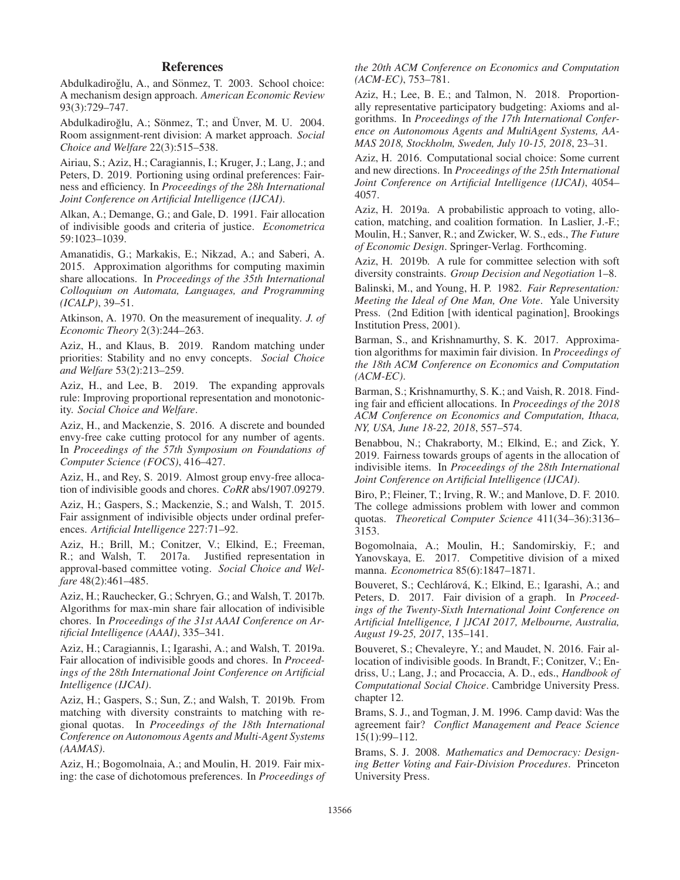# References

Abdulkadiroğlu, A., and Sönmez, T. 2003. School choice: A mechanism design approach. *American Economic Review* 93(3):729–747.

Abdulkadiroğlu, A.; Sönmez, T.; and Ünver, M. U. 2004. Room assignment-rent division: A market approach. *Social Choice and Welfare* 22(3):515–538.

Airiau, S.; Aziz, H.; Caragiannis, I.; Kruger, J.; Lang, J.; and Peters, D. 2019. Portioning using ordinal preferences: Fairness and efficiency. In *Proceedings of the 28h International Joint Conference on Artificial Intelligence (IJCAI)*.

Alkan, A.; Demange, G.; and Gale, D. 1991. Fair allocation of indivisible goods and criteria of justice. *Econometrica* 59:1023–1039.

Amanatidis, G.; Markakis, E.; Nikzad, A.; and Saberi, A. 2015. Approximation algorithms for computing maximin share allocations. In *Proceedings of the 35th International Colloquium on Automata, Languages, and Programming (ICALP)*, 39–51.

Atkinson, A. 1970. On the measurement of inequality. *J. of Economic Theory* 2(3):244–263.

Aziz, H., and Klaus, B. 2019. Random matching under priorities: Stability and no envy concepts. *Social Choice and Welfare* 53(2):213–259.

Aziz, H., and Lee, B. 2019. The expanding approvals rule: Improving proportional representation and monotonicity. *Social Choice and Welfare*.

Aziz, H., and Mackenzie, S. 2016. A discrete and bounded envy-free cake cutting protocol for any number of agents. In *Proceedings of the 57th Symposium on Foundations of Computer Science (FOCS)*, 416–427.

Aziz, H., and Rey, S. 2019. Almost group envy-free allocation of indivisible goods and chores. *CoRR* abs/1907.09279.

Aziz, H.; Gaspers, S.; Mackenzie, S.; and Walsh, T. 2015. Fair assignment of indivisible objects under ordinal preferences. *Artificial Intelligence* 227:71–92.

Aziz, H.; Brill, M.; Conitzer, V.; Elkind, E.; Freeman, R.; and Walsh, T. 2017a. Justified representation in approval-based committee voting. *Social Choice and Welfare* 48(2):461–485.

Aziz, H.; Rauchecker, G.; Schryen, G.; and Walsh, T. 2017b. Algorithms for max-min share fair allocation of indivisible chores. In *Proceedings of the 31st AAAI Conference on Artificial Intelligence (AAAI)*, 335–341.

Aziz, H.; Caragiannis, I.; Igarashi, A.; and Walsh, T. 2019a. Fair allocation of indivisible goods and chores. In *Proceedings of the 28th International Joint Conference on Artificial Intelligence (IJCAI)*.

Aziz, H.; Gaspers, S.; Sun, Z.; and Walsh, T. 2019b. From matching with diversity constraints to matching with regional quotas. In *Proceedings of the 18th International Conference on Autonomous Agents and Multi-Agent Systems (AAMAS)*.

Aziz, H.; Bogomolnaia, A.; and Moulin, H. 2019. Fair mixing: the case of dichotomous preferences. In *Proceedings of* *the 20th ACM Conference on Economics and Computation (ACM-EC)*, 753–781.

Aziz, H.; Lee, B. E.; and Talmon, N. 2018. Proportionally representative participatory budgeting: Axioms and algorithms. In *Proceedings of the 17th International Conference on Autonomous Agents and MultiAgent Systems, AA-MAS 2018, Stockholm, Sweden, July 10-15, 2018*, 23–31.

Aziz, H. 2016. Computational social choice: Some current and new directions. In *Proceedings of the 25th International Joint Conference on Artificial Intelligence (IJCAI)*, 4054– 4057.

Aziz, H. 2019a. A probabilistic approach to voting, allocation, matching, and coalition formation. In Laslier, J.-F.; Moulin, H.; Sanver, R.; and Zwicker, W. S., eds., *The Future of Economic Design*. Springer-Verlag. Forthcoming.

Aziz, H. 2019b. A rule for committee selection with soft diversity constraints. *Group Decision and Negotiation* 1–8.

Balinski, M., and Young, H. P. 1982. *Fair Representation: Meeting the Ideal of One Man, One Vote*. Yale University Press. (2nd Edition [with identical pagination], Brookings Institution Press, 2001).

Barman, S., and Krishnamurthy, S. K. 2017. Approximation algorithms for maximin fair division. In *Proceedings of the 18th ACM Conference on Economics and Computation (ACM-EC)*.

Barman, S.; Krishnamurthy, S. K.; and Vaish, R. 2018. Finding fair and efficient allocations. In *Proceedings of the 2018 ACM Conference on Economics and Computation, Ithaca, NY, USA, June 18-22, 2018*, 557–574.

Benabbou, N.; Chakraborty, M.; Elkind, E.; and Zick, Y. 2019. Fairness towards groups of agents in the allocation of indivisible items. In *Proceedings of the 28th International Joint Conference on Artificial Intelligence (IJCAI)*.

Biro, P.; Fleiner, T.; Irving, R. W.; and Manlove, D. F. 2010. The college admissions problem with lower and common quotas. *Theoretical Computer Science* 411(34–36):3136– 3153.

Bogomolnaia, A.; Moulin, H.; Sandomirskiy, F.; and Yanovskaya, E. 2017. Competitive division of a mixed manna. *Econometrica* 85(6):1847–1871.

Bouveret, S.; Cechlárová, K.; Elkind, E.; Igarashi, A.; and Peters, D. 2017. Fair division of a graph. In *Proceedings of the Twenty-Sixth International Joint Conference on Artificial Intelligence, I ]JCAI 2017, Melbourne, Australia, August 19-25, 2017*, 135–141.

Bouveret, S.; Chevaleyre, Y.; and Maudet, N. 2016. Fair allocation of indivisible goods. In Brandt, F.; Conitzer, V.; Endriss, U.; Lang, J.; and Procaccia, A. D., eds., *Handbook of Computational Social Choice*. Cambridge University Press. chapter 12.

Brams, S. J., and Togman, J. M. 1996. Camp david: Was the agreement fair? *Conflict Management and Peace Science* 15(1):99–112.

Brams, S. J. 2008. *Mathematics and Democracy: Designing Better Voting and Fair-Division Procedures*. Princeton University Press.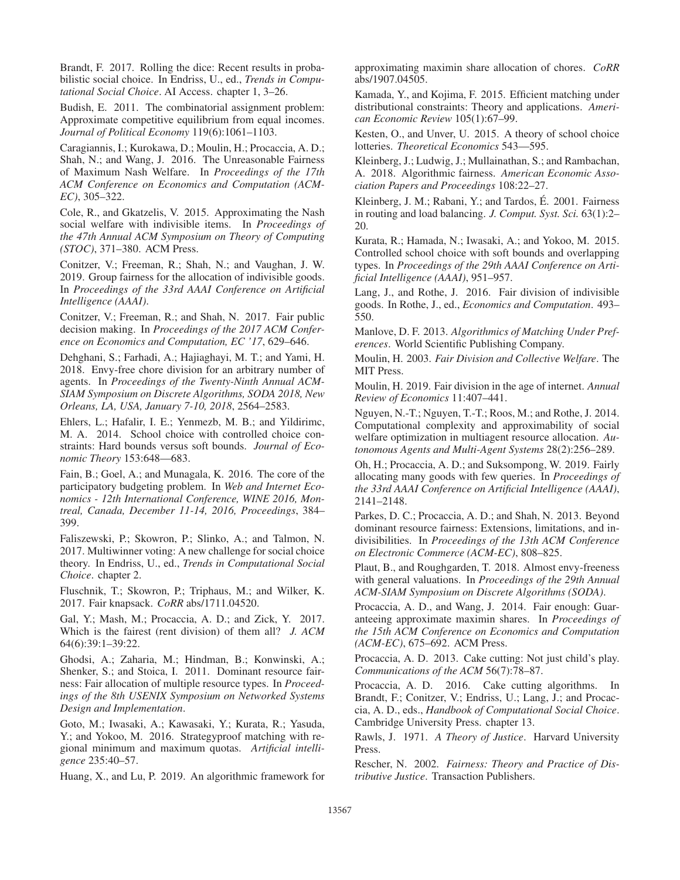Brandt, F. 2017. Rolling the dice: Recent results in probabilistic social choice. In Endriss, U., ed., *Trends in Computational Social Choice*. AI Access. chapter 1, 3–26.

Budish, E. 2011. The combinatorial assignment problem: Approximate competitive equilibrium from equal incomes. *Journal of Political Economy* 119(6):1061–1103.

Caragiannis, I.; Kurokawa, D.; Moulin, H.; Procaccia, A. D.; Shah, N.; and Wang, J. 2016. The Unreasonable Fairness of Maximum Nash Welfare. In *Proceedings of the 17th ACM Conference on Economics and Computation (ACM-EC)*, 305–322.

Cole, R., and Gkatzelis, V. 2015. Approximating the Nash social welfare with indivisible items. In *Proceedings of the 47th Annual ACM Symposium on Theory of Computing (STOC)*, 371–380. ACM Press.

Conitzer, V.; Freeman, R.; Shah, N.; and Vaughan, J. W. 2019. Group fairness for the allocation of indivisible goods. In *Proceedings of the 33rd AAAI Conference on Artificial Intelligence (AAAI)*.

Conitzer, V.; Freeman, R.; and Shah, N. 2017. Fair public decision making. In *Proceedings of the 2017 ACM Conference on Economics and Computation, EC '17*, 629–646.

Dehghani, S.; Farhadi, A.; Hajiaghayi, M. T.; and Yami, H. 2018. Envy-free chore division for an arbitrary number of agents. In *Proceedings of the Twenty-Ninth Annual ACM-SIAM Symposium on Discrete Algorithms, SODA 2018, New Orleans, LA, USA, January 7-10, 2018*, 2564–2583.

Ehlers, L.; Hafalir, I. E.; Yenmezb, M. B.; and Yildirimc, M. A. 2014. School choice with controlled choice constraints: Hard bounds versus soft bounds. *Journal of Economic Theory* 153:648—683.

Fain, B.; Goel, A.; and Munagala, K. 2016. The core of the participatory budgeting problem. In *Web and Internet Economics - 12th International Conference, WINE 2016, Montreal, Canada, December 11-14, 2016, Proceedings*, 384– 399.

Faliszewski, P.; Skowron, P.; Slinko, A.; and Talmon, N. 2017. Multiwinner voting: A new challenge for social choice theory. In Endriss, U., ed., *Trends in Computational Social Choice*. chapter 2.

Fluschnik, T.; Skowron, P.; Triphaus, M.; and Wilker, K. 2017. Fair knapsack. *CoRR* abs/1711.04520.

Gal, Y.; Mash, M.; Procaccia, A. D.; and Zick, Y. 2017. Which is the fairest (rent division) of them all? *J. ACM* 64(6):39:1–39:22.

Ghodsi, A.; Zaharia, M.; Hindman, B.; Konwinski, A.; Shenker, S.; and Stoica, I. 2011. Dominant resource fairness: Fair allocation of multiple resource types. In *Proceedings of the 8th USENIX Symposium on Networked Systems Design and Implementation*.

Goto, M.; Iwasaki, A.; Kawasaki, Y.; Kurata, R.; Yasuda, Y.; and Yokoo, M. 2016. Strategyproof matching with regional minimum and maximum quotas. *Artificial intelligence* 235:40–57.

Huang, X., and Lu, P. 2019. An algorithmic framework for

approximating maximin share allocation of chores. *CoRR* abs/1907.04505.

Kamada, Y., and Kojima, F. 2015. Efficient matching under distributional constraints: Theory and applications. *American Economic Review* 105(1):67–99.

Kesten, O., and Unver, U. 2015. A theory of school choice lotteries. *Theoretical Economics* 543—595.

Kleinberg, J.; Ludwig, J.; Mullainathan, S.; and Rambachan, A. 2018. Algorithmic fairness. *American Economic Association Papers and Proceedings* 108:22–27.

Kleinberg, J. M.; Rabani, Y.; and Tardos, E. 2001. Fairness ´ in routing and load balancing. *J. Comput. Syst. Sci.* 63(1):2– 20.

Kurata, R.; Hamada, N.; Iwasaki, A.; and Yokoo, M. 2015. Controlled school choice with soft bounds and overlapping types. In *Proceedings of the 29th AAAI Conference on Artificial Intelligence (AAAI)*, 951–957.

Lang, J., and Rothe, J. 2016. Fair division of indivisible goods. In Rothe, J., ed., *Economics and Computation*. 493– 550.

Manlove, D. F. 2013. *Algorithmics of Matching Under Preferences*. World Scientific Publishing Company.

Moulin, H. 2003. *Fair Division and Collective Welfare*. The MIT Press.

Moulin, H. 2019. Fair division in the age of internet. *Annual Review of Economics* 11:407–441.

Nguyen, N.-T.; Nguyen, T.-T.; Roos, M.; and Rothe, J. 2014. Computational complexity and approximability of social welfare optimization in multiagent resource allocation. *Autonomous Agents and Multi-Agent Systems* 28(2):256–289.

Oh, H.; Procaccia, A. D.; and Suksompong, W. 2019. Fairly allocating many goods with few queries. In *Proceedings of the 33rd AAAI Conference on Artificial Intelligence (AAAI)*, 2141–2148.

Parkes, D. C.; Procaccia, A. D.; and Shah, N. 2013. Beyond dominant resource fairness: Extensions, limitations, and indivisibilities. In *Proceedings of the 13th ACM Conference on Electronic Commerce (ACM-EC)*, 808–825.

Plaut, B., and Roughgarden, T. 2018. Almost envy-freeness with general valuations. In *Proceedings of the 29th Annual ACM-SIAM Symposium on Discrete Algorithms (SODA)*.

Procaccia, A. D., and Wang, J. 2014. Fair enough: Guaranteeing approximate maximin shares. In *Proceedings of the 15th ACM Conference on Economics and Computation (ACM-EC)*, 675–692. ACM Press.

Procaccia, A. D. 2013. Cake cutting: Not just child's play. *Communications of the ACM* 56(7):78–87.

Procaccia, A. D. 2016. Cake cutting algorithms. In Brandt, F.; Conitzer, V.; Endriss, U.; Lang, J.; and Procaccia, A. D., eds., *Handbook of Computational Social Choice*. Cambridge University Press. chapter 13.

Rawls, J. 1971. *A Theory of Justice*. Harvard University Press.

Rescher, N. 2002. *Fairness: Theory and Practice of Distributive Justice*. Transaction Publishers.